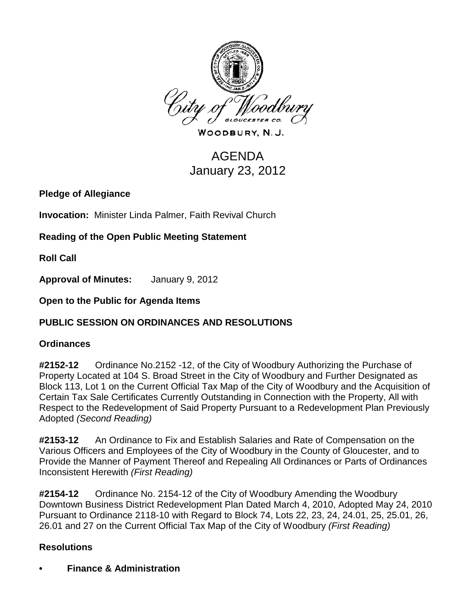

WOODBURY, N.J.

# AGENDA January 23, 2012

**Pledge of Allegiance**

**Invocation:** Minister Linda Palmer, Faith Revival Church

**Reading of the Open Public Meeting Statement**

**Roll Call**

**Approval of Minutes:** January 9, 2012

**Open to the Public for Agenda Items**

### **PUBLIC SESSION ON ORDINANCES AND RESOLUTIONS**

### **Ordinances**

**#2152-12** Ordinance No.2152 -12, of the City of Woodbury Authorizing the Purchase of Property Located at 104 S. Broad Street in the City of Woodbury and Further Designated as Block 113, Lot 1 on the Current Official Tax Map of the City of Woodbury and the Acquisition of Certain Tax Sale Certificates Currently Outstanding in Connection with the Property, All with Respect to the Redevelopment of Said Property Pursuant to a Redevelopment Plan Previously Adopted *(Second Reading)*

**#2153-12** An Ordinance to Fix and Establish Salaries and Rate of Compensation on the Various Officers and Employees of the City of Woodbury in the County of Gloucester, and to Provide the Manner of Payment Thereof and Repealing All Ordinances or Parts of Ordinances Inconsistent Herewith *(First Reading)*

**#2154-12** Ordinance No. 2154-12 of the City of Woodbury Amending the Woodbury Downtown Business District Redevelopment Plan Dated March 4, 2010, Adopted May 24, 2010 Pursuant to Ordinance 2118-10 with Regard to Block 74, Lots 22, 23, 24, 24.01, 25, 25.01, 26, 26.01 and 27 on the Current Official Tax Map of the City of Woodbury *(First Reading)*

### **Resolutions**

**• Finance & Administration**